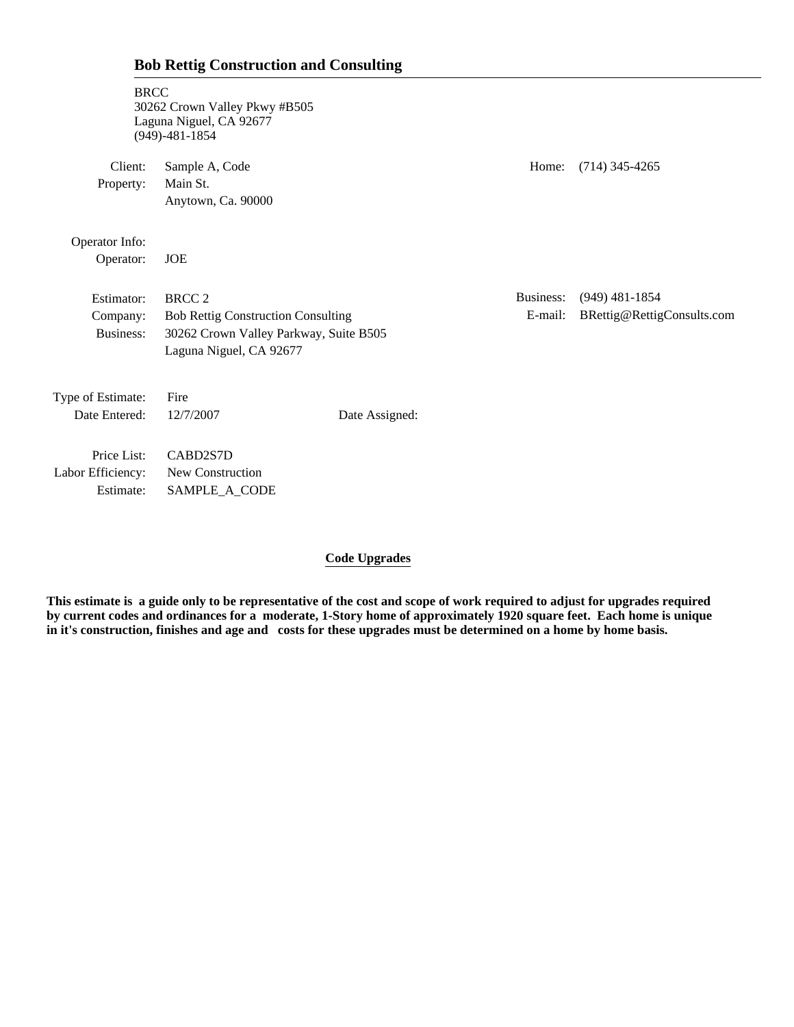| <b>BRCC</b>                                   | 30262 Crown Valley Pkwy #B505<br>Laguna Niguel, CA 92677<br>$(949) - 481 - 1854$                                                |                |                      |                                                |
|-----------------------------------------------|---------------------------------------------------------------------------------------------------------------------------------|----------------|----------------------|------------------------------------------------|
| Client:<br>Property:                          | Sample A, Code<br>Main St.<br>Anytown, Ca. 90000                                                                                |                | Home:                | $(714)$ 345-4265                               |
| Operator Info:<br>Operator:                   | <b>JOE</b>                                                                                                                      |                |                      |                                                |
| Estimator:<br>Company:<br>Business:           | <b>BRCC 2</b><br><b>Bob Rettig Construction Consulting</b><br>30262 Crown Valley Parkway, Suite B505<br>Laguna Niguel, CA 92677 |                | Business:<br>E-mail: | $(949)$ 481-1854<br>BRettig@RettigConsults.com |
| Type of Estimate:<br>Date Entered:            | Fire<br>12/7/2007                                                                                                               | Date Assigned: |                      |                                                |
| Price List:<br>Labor Efficiency:<br>Estimate: | CABD2S7D<br>New Construction<br>SAMPLE_A_CODE                                                                                   |                |                      |                                                |

**Bob Rettig Construction and Consulting**

## **Code Upgrades**

**This estimate is a guide only to be representative of the cost and scope of work required to adjust for upgrades required by current codes and ordinances for a moderate, 1-Story home of approximately 1920 square feet. Each home is unique in it's construction, finishes and age and costs for these upgrades must be determined on a home by home basis.**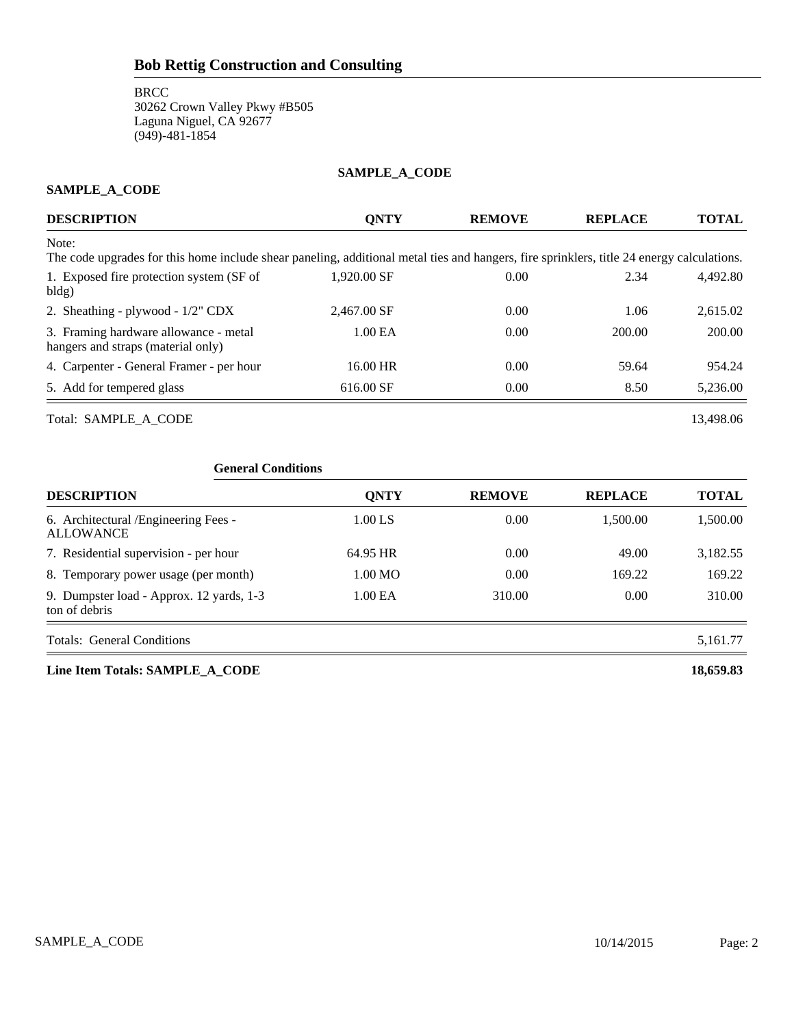## **SAMPLE\_A\_CODE**

## **SAMPLE\_A\_CODE**

| <b>DESCRIPTION</b>                                                                                                                                 | <b>ONTY</b>         | <b>REMOVE</b> | <b>REPLACE</b> | TOTAL    |
|----------------------------------------------------------------------------------------------------------------------------------------------------|---------------------|---------------|----------------|----------|
| Note:<br>The code upgrades for this home include shear paneling, additional metal ties and hangers, fire sprinklers, title 24 energy calculations. |                     |               |                |          |
| 1. Exposed fire protection system (SF of<br>bldg)                                                                                                  | 1,920.00 SF         | 0.00          | 2.34           | 4.492.80 |
| 2. Sheathing - plywood - 1/2" CDX                                                                                                                  | 2,467.00 SF         | 0.00          | 1.06           | 2,615.02 |
| 3. Framing hardware allowance - metal<br>hangers and straps (material only)                                                                        | 1.00 <sub>E</sub> A | 0.00          | 200.00         | 200.00   |
| 4. Carpenter - General Framer - per hour                                                                                                           | 16.00 HR            | 0.00          | 59.64          | 954.24   |
| 5. Add for tempered glass                                                                                                                          | 616.00 SF           | 0.00          | 8.50           | 5,236.00 |

Total: SAMPLE\_A\_CODE 13,498.06

| <b>General Conditions</b>                                 |                     |               |                |              |
|-----------------------------------------------------------|---------------------|---------------|----------------|--------------|
| <b>DESCRIPTION</b>                                        | <b>QNTY</b>         | <b>REMOVE</b> | <b>REPLACE</b> | <b>TOTAL</b> |
| 6. Architectural /Engineering Fees -<br><b>ALLOWANCE</b>  | $1.00$ LS           | 0.00          | 1,500.00       | 1,500.00     |
| 7. Residential supervision - per hour                     | 64.95 HR            | 0.00          | 49.00          | 3,182.55     |
| 8. Temporary power usage (per month)                      | 1.00 MO             | 0.00          | 169.22         | 169.22       |
| 9. Dumpster load - Approx. 12 yards, 1-3<br>ton of debris | 1.00 <sub>E</sub> A | 310.00        | 0.00           | 310.00       |
| <b>Totals: General Conditions</b>                         |                     |               |                | 5,161.77     |

**Line Item Totals: SAMPLE\_A\_CODE 18,659.83**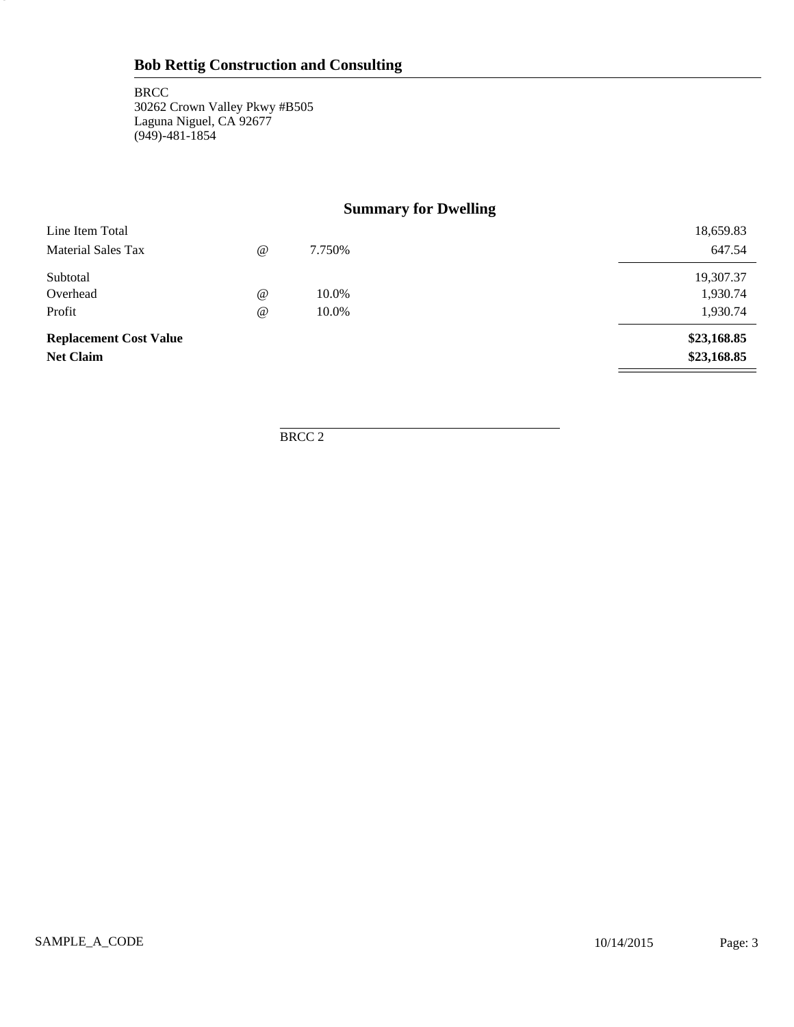3

# **Summary for Dwelling**

| Line Item Total               |                                 |        | 18,659.83   |
|-------------------------------|---------------------------------|--------|-------------|
| <b>Material Sales Tax</b>     | $^{\scriptsize\textregistered}$ | 7.750% | 647.54      |
| Subtotal                      |                                 |        | 19,307.37   |
| Overhead                      | $^{\circ}$                      | 10.0%  | 1,930.74    |
| Profit                        | $^{\circ}$                      | 10.0%  | 1,930.74    |
| <b>Replacement Cost Value</b> |                                 |        | \$23,168.85 |
| <b>Net Claim</b>              |                                 |        | \$23,168.85 |

BRCC 2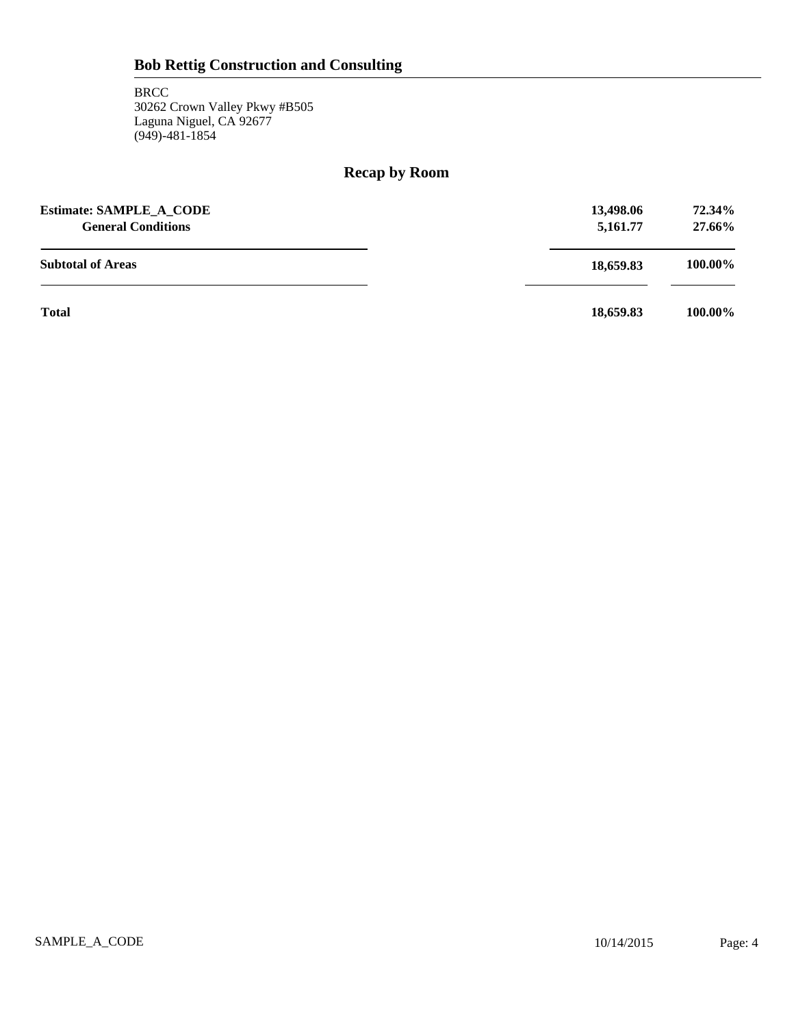# **Recap by Room**

| <b>Estimate: SAMPLE A CODE</b><br><b>General Conditions</b> | 13,498.06<br>5,161.77 | 72.34%<br>27.66% |
|-------------------------------------------------------------|-----------------------|------------------|
| <b>Subtotal of Areas</b>                                    | 18,659.83             | 100.00%          |
| <b>Total</b>                                                | 18,659.83             | 100.00%          |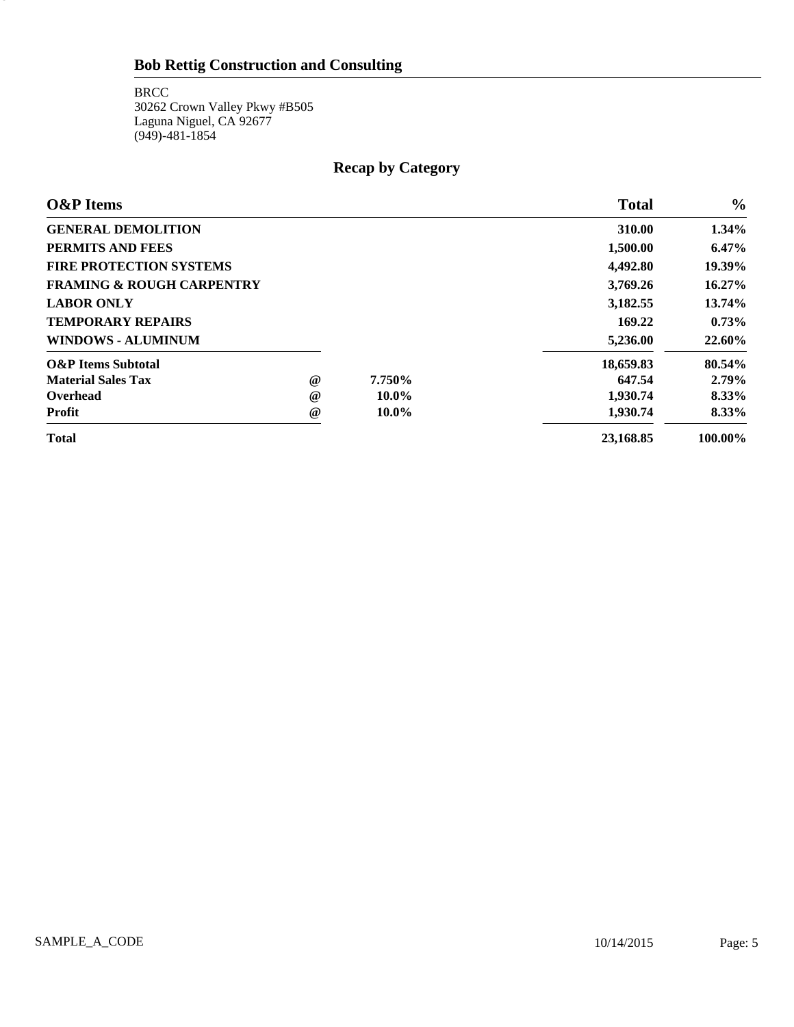# **Bob Rettig Construction and Consulting**

**BRCC** 30262 Crown Valley Pkwy #B505 Laguna Niguel, CA 92677 (949)-481-1854

5

# **Recap by Category**

| <b>O&amp;P</b> Items                 |                 |          | <b>Total</b> | $\frac{6}{9}$ |
|--------------------------------------|-----------------|----------|--------------|---------------|
| <b>GENERAL DEMOLITION</b>            |                 |          | 310.00       | $1.34\%$      |
| PERMITS AND FEES                     |                 |          | 1,500.00     | $6.47\%$      |
| <b>FIRE PROTECTION SYSTEMS</b>       |                 |          | 4,492.80     | 19.39%        |
| <b>FRAMING &amp; ROUGH CARPENTRY</b> |                 |          | 3,769.26     | 16.27%        |
| <b>LABOR ONLY</b>                    |                 |          | 3,182.55     | 13.74%        |
| <b>TEMPORARY REPAIRS</b>             |                 |          | 169.22       | 0.73%         |
| <b>WINDOWS - ALUMINUM</b>            |                 |          | 5,236.00     | 22.60%        |
| <b>O&amp;P</b> Items Subtotal        |                 |          | 18,659.83    | 80.54%        |
| <b>Material Sales Tax</b>            | @               | 7.750%   | 647.54       | $2.79\%$      |
| Overhead                             | $^{\circ}$      | $10.0\%$ | 1,930.74     | 8.33%         |
| Profit                               | $^{\copyright}$ | $10.0\%$ | 1.930.74     | 8.33%         |
| <b>Total</b>                         |                 |          | 23,168.85    | 100.00%       |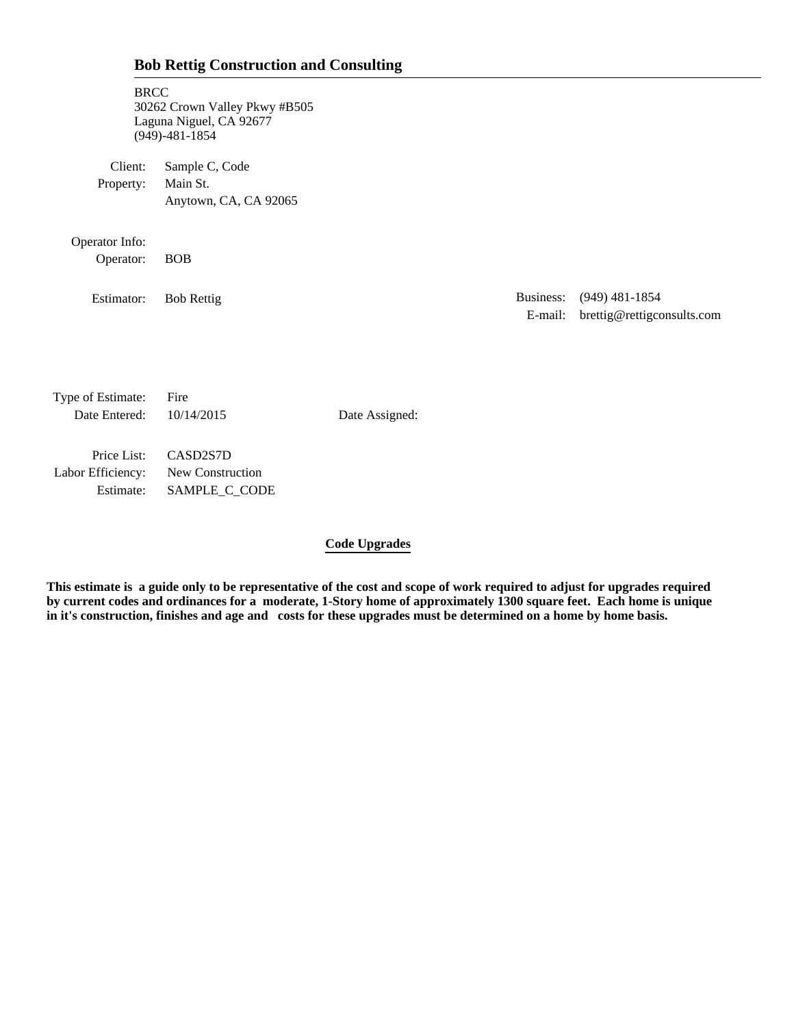# **Bob Rettig Construction and Consulting**

| <b>BRCC</b>                        | 30262 Crown Valley Pkwy #B505<br>Laguna Niguel, CA 92677<br>$(949) - 481 - 1854$ |                |                      |                                                |
|------------------------------------|----------------------------------------------------------------------------------|----------------|----------------------|------------------------------------------------|
| Client:<br>Property:               | Sample C, Code<br>Main St.<br>Anytown, CA, CA 92065                              |                |                      |                                                |
| Operator Info:<br>Operator:        | <b>BOB</b>                                                                       |                |                      |                                                |
| Estimator:                         | <b>Bob Rettig</b>                                                                |                | Business:<br>E-mail: | $(949)$ 481-1854<br>brettig@rettigconsults.com |
|                                    |                                                                                  |                |                      |                                                |
| Type of Estimate:<br>Date Entered: | Fire<br>10/14/2015                                                               | Date Assigned: |                      |                                                |
| Price List:                        | CASD2S7D                                                                         |                |                      |                                                |

Labor Efficiency: New Construction Estimate: SAMPLE\_C\_CODE

## **Code Upgrades**

**This estimate is a guide only to be representative of the cost and scope of work required to adjust for upgrades required by current codes and ordinances for a moderate, 1-Story home of approximately 1300 square feet. Each home is unique in it's construction, finishes and age and costs for these upgrades must be determined on a home by home basis.**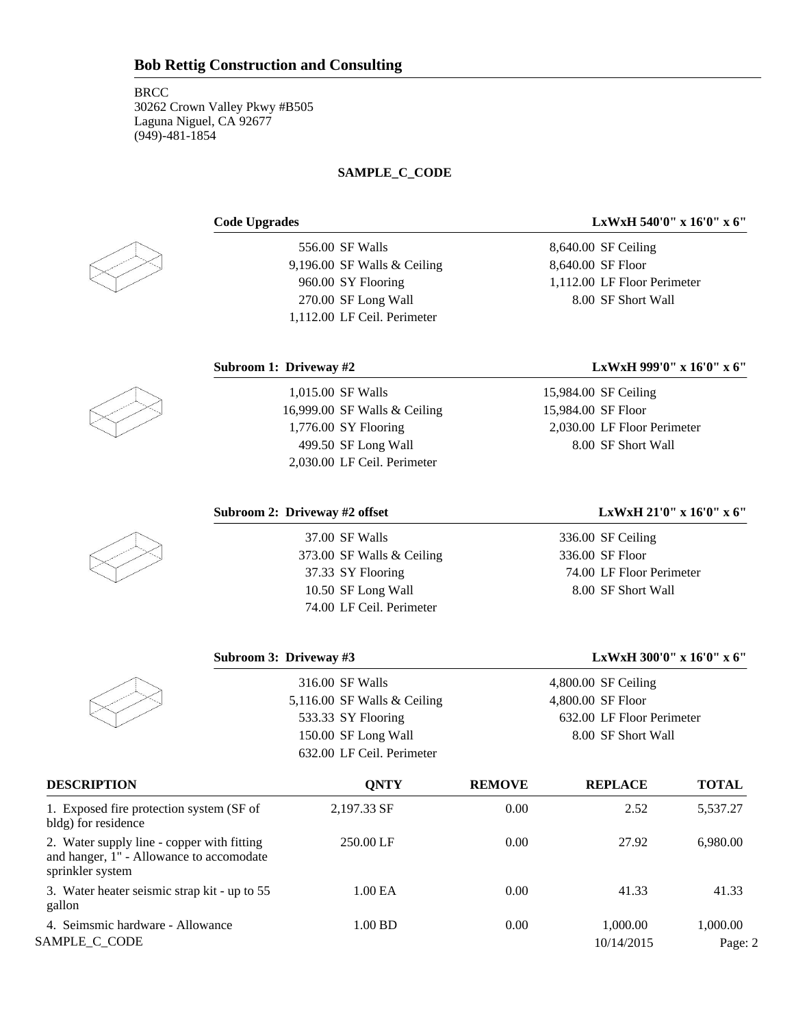## **SAMPLE\_C\_CODE**



556.00 SF Walls 9,196.00 SF Walls & Ceiling 960.00 SY Flooring 270.00 SF Long Wall 1,112.00 LF Ceil. Perimeter

# **Code Upgrades LxWxH 540'0" x 16'0" x 6"**

8,640.00 SF Ceiling 8,640.00 SF Floor 1,112.00 LF Floor Perimeter 8.00 SF Short Wall

## **Subroom 1: Driveway #2 LxWxH 999'0" x 16'0" x 6"**



| 16,999.00 SF Walls & Ceiling |
|------------------------------|
| 1,776.00 SY Flooring         |
| 499.50 SF Long Wall          |
| 2.030.00 LF Ceil. Perimeter  |
|                              |

1,015.00 SF Walls

**Subroom 3: Driveway #3** 

## **Subroom 2: Driveway #2 offset LxWxH 21'0" x 16'0" x 6"**

37.00 SF Walls 373.00 SF Walls & Ceiling 37.33 SY Flooring 10.50 SF Long Wall 74.00 LF Ceil. Perimeter

336.00 SF Ceiling 336.00 SF Floor 74.00 LF Floor Perimeter 8.00 SF Short Wall

| LxWxH 300'0" x 16'0" x 6" |  |  |
|---------------------------|--|--|
|---------------------------|--|--|

| 316.00 SF Walls               | $4,800.00$ SF Ceiling     |
|-------------------------------|---------------------------|
| 5,116.00 SF Walls $&$ Ceiling | 4,800.00 SF Floor         |
| 533.33 SY Flooring            | 632.00 LF Floor Perimeter |
| 150.00 SF Long Wall           | 8.00 SF Short Wall        |
| 632.00 LF Ceil. Perimeter     |                           |
|                               |                           |

| <b>DESCRIPTION</b>                                                                                         | <b>ONTY</b> | <b>REMOVE</b> | <b>REPLACE</b> | <b>TOTAL</b> |
|------------------------------------------------------------------------------------------------------------|-------------|---------------|----------------|--------------|
| 1. Exposed fire protection system (SF of<br>bldg) for residence                                            | 2,197.33 SF | 0.00          | 2.52           | 5,537.27     |
| 2. Water supply line - copper with fitting<br>and hanger, 1" - Allowance to accomodate<br>sprinkler system | 250.00 LF   | 0.00          | 27.92          | 6.980.00     |
| 3. Water heater seismic strap kit - up to 55<br>gallon                                                     | 1.00 EA     | 0.00          | 41.33          | 41.33        |
| 4. Seimsmic hardware - Allowance                                                                           | 1.00 BD     | 0.00          | 1,000.00       | 1.000.00     |
| SAMPLE C CODE                                                                                              |             |               | 10/14/2015     | Page: 2      |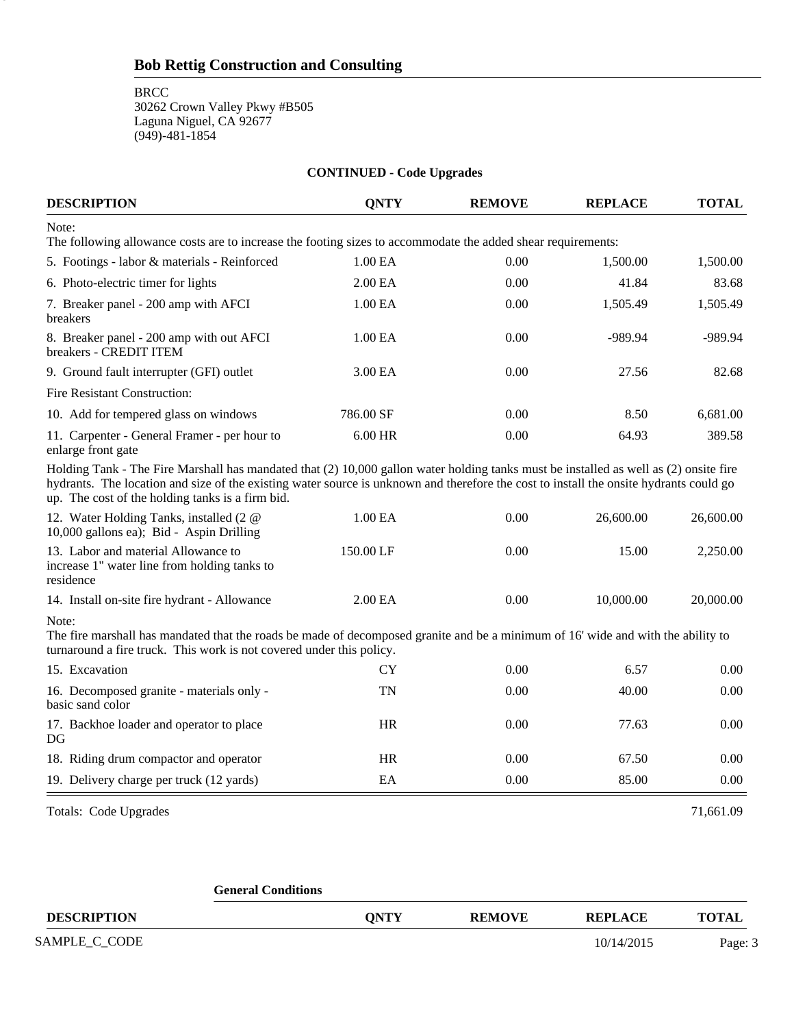**BRCC** 

3

30262 Crown Valley Pkwy #B505 Laguna Niguel, CA 92677 (949)-481-1854

| <b>CONTINUED - Code Upgrades</b>                                                                                                                                                                                                                                                                                                    |                     |               |                |              |  |
|-------------------------------------------------------------------------------------------------------------------------------------------------------------------------------------------------------------------------------------------------------------------------------------------------------------------------------------|---------------------|---------------|----------------|--------------|--|
| <b>DESCRIPTION</b>                                                                                                                                                                                                                                                                                                                  | <b>QNTY</b>         | <b>REMOVE</b> | <b>REPLACE</b> | <b>TOTAL</b> |  |
| Note:<br>The following allowance costs are to increase the footing sizes to accommodate the added shear requirements:                                                                                                                                                                                                               |                     |               |                |              |  |
| 5. Footings - labor & materials - Reinforced                                                                                                                                                                                                                                                                                        | 1.00 EA             | 0.00          | 1,500.00       | 1,500.00     |  |
| 6. Photo-electric timer for lights                                                                                                                                                                                                                                                                                                  | 2.00 EA             | 0.00          | 41.84          | 83.68        |  |
| 7. Breaker panel - 200 amp with AFCI<br>breakers                                                                                                                                                                                                                                                                                    | 1.00 EA             | 0.00          | 1,505.49       | 1,505.49     |  |
| 8. Breaker panel - 200 amp with out AFCI<br>breakers - CREDIT ITEM                                                                                                                                                                                                                                                                  | 1.00 EA             | 0.00          | -989.94        | $-989.94$    |  |
| 9. Ground fault interrupter (GFI) outlet                                                                                                                                                                                                                                                                                            | 3.00 EA             | 0.00          | 27.56          | 82.68        |  |
| Fire Resistant Construction:                                                                                                                                                                                                                                                                                                        |                     |               |                |              |  |
| 10. Add for tempered glass on windows                                                                                                                                                                                                                                                                                               | 786.00 SF           | 0.00          | 8.50           | 6,681.00     |  |
| 11. Carpenter - General Framer - per hour to<br>enlarge front gate                                                                                                                                                                                                                                                                  | 6.00 HR             | 0.00          | 64.93          | 389.58       |  |
| Holding Tank - The Fire Marshall has mandated that (2) 10,000 gallon water holding tanks must be installed as well as (2) onsite fire<br>hydrants. The location and size of the existing water source is unknown and therefore the cost to install the onsite hydrants could go<br>up. The cost of the holding tanks is a firm bid. |                     |               |                |              |  |
| 12. Water Holding Tanks, installed (2 @<br>10,000 gallons ea); Bid - Aspin Drilling                                                                                                                                                                                                                                                 | 1.00 EA             | 0.00          | 26,600.00      | 26,600.00    |  |
| 13. Labor and material Allowance to<br>increase 1" water line from holding tanks to<br>residence                                                                                                                                                                                                                                    | 150.00 LF           | 0.00          | 15.00          | 2,250.00     |  |
| 14. Install on-site fire hydrant - Allowance                                                                                                                                                                                                                                                                                        | 2.00 <sub>E</sub> A | 0.00          | 10,000.00      | 20,000.00    |  |
| Note:<br>The fire marshall has mandated that the roads be made of decomposed granite and be a minimum of 16' wide and with the ability to<br>turnaround a fire truck. This work is not covered under this policy.                                                                                                                   |                     |               |                |              |  |
| 15. Excavation                                                                                                                                                                                                                                                                                                                      | CY                  | 0.00          | 6.57           | 0.00         |  |
| 16. Decomposed granite - materials only -<br>basic sand color                                                                                                                                                                                                                                                                       | TN                  | 0.00          | 40.00          | 0.00         |  |
| 17. Backhoe loader and operator to place<br>DG                                                                                                                                                                                                                                                                                      | HR                  | 0.00          | 77.63          | 0.00         |  |
| 18. Riding drum compactor and operator                                                                                                                                                                                                                                                                                              | HR                  | 0.00          | 67.50          | 0.00         |  |
| 19. Delivery charge per truck (12 yards)                                                                                                                                                                                                                                                                                            | EA                  | 0.00          | 85.00          | 0.00         |  |
| <b>Totals: Code Upgrades</b>                                                                                                                                                                                                                                                                                                        |                     |               |                | 71,661.09    |  |

|                    | <b>General Conditions</b> |             |               |                |              |
|--------------------|---------------------------|-------------|---------------|----------------|--------------|
| <b>DESCRIPTION</b> |                           | <b>ONTY</b> | <b>REMOVE</b> | <b>REPLACE</b> | <b>TOTAL</b> |
| SAMPLE_C_CODE      |                           |             |               | 10/14/2015     | Page: 3      |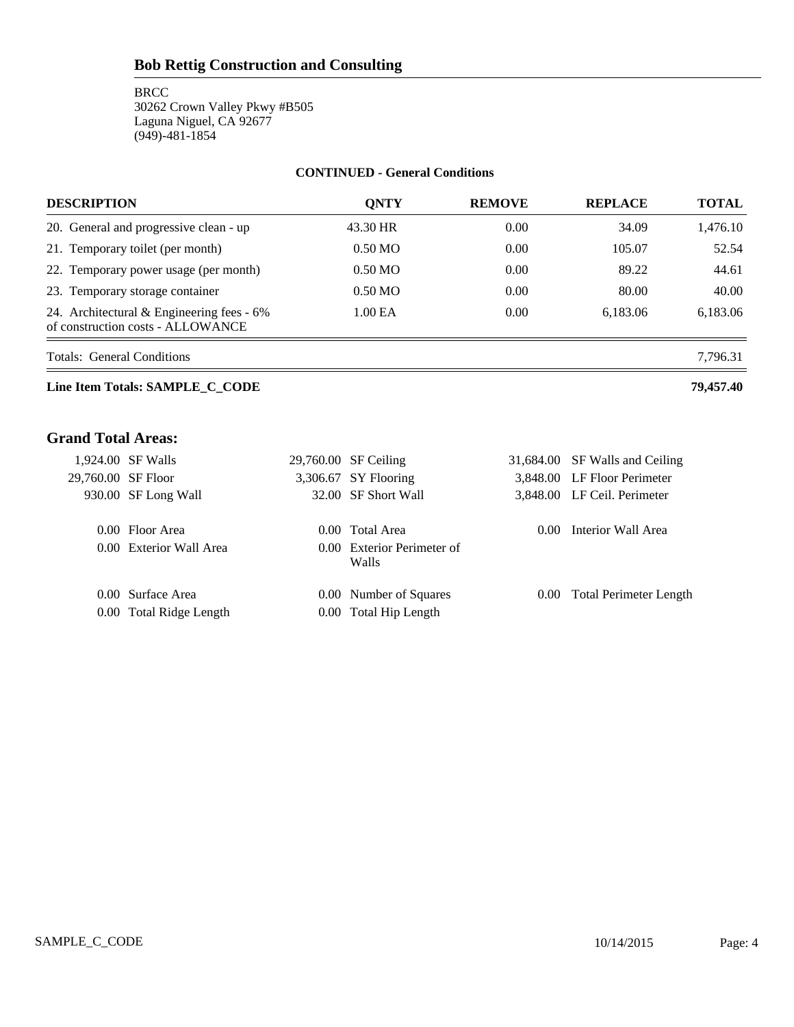## **CONTINUED - General Conditions**

| <b>DESCRIPTION</b>                                                               | <b>ONTY</b>       | <b>REMOVE</b> | <b>REPLACE</b> | <b>TOTAL</b> |
|----------------------------------------------------------------------------------|-------------------|---------------|----------------|--------------|
| 20. General and progressive clean - up                                           | 43.30 HR          | 0.00          | 34.09          | 1,476.10     |
| 21. Temporary toilet (per month)                                                 | $0.50 \text{ MO}$ | 0.00          | 105.07         | 52.54        |
| 22. Temporary power usage (per month)                                            | $0.50 \text{ MO}$ | 0.00          | 89.22          | 44.61        |
| 23. Temporary storage container                                                  | $0.50 \text{ MO}$ | 0.00          | 80.00          | 40.00        |
| 24. Architectural $&$ Engineering fees - 6%<br>of construction costs - ALLOWANCE | 1.00 EA           | 0.00          | 6.183.06       | 6,183.06     |

Totals: General Conditions 7,796.31

## **Line Item Totals: SAMPLE\_C\_CODE 79,457.40**

# **Grand Total Areas:**

| 1,924.00 SF Walls  |                         | 29,760.00 SF Ceiling                |          | 31,684.00 SF Walls and Ceiling |
|--------------------|-------------------------|-------------------------------------|----------|--------------------------------|
| 29,760.00 SF Floor |                         | 3,306.67 SY Flooring                |          | 3,848.00 LF Floor Perimeter    |
|                    | 930.00 SF Long Wall     | 32.00 SF Short Wall                 |          | 3,848.00 LF Ceil. Perimeter    |
|                    | 0.00 Floor Area         | 0.00 Total Area                     | $0.00 -$ | Interior Wall Area             |
|                    | 0.00 Exterior Wall Area | 0.00 Exterior Perimeter of<br>Walls |          |                                |
|                    | 0.00 Surface Area       | 0.00 Number of Squares              |          | 0.00 Total Perimeter Length    |
|                    | 0.00 Total Ridge Length | 0.00 Total Hip Length               |          |                                |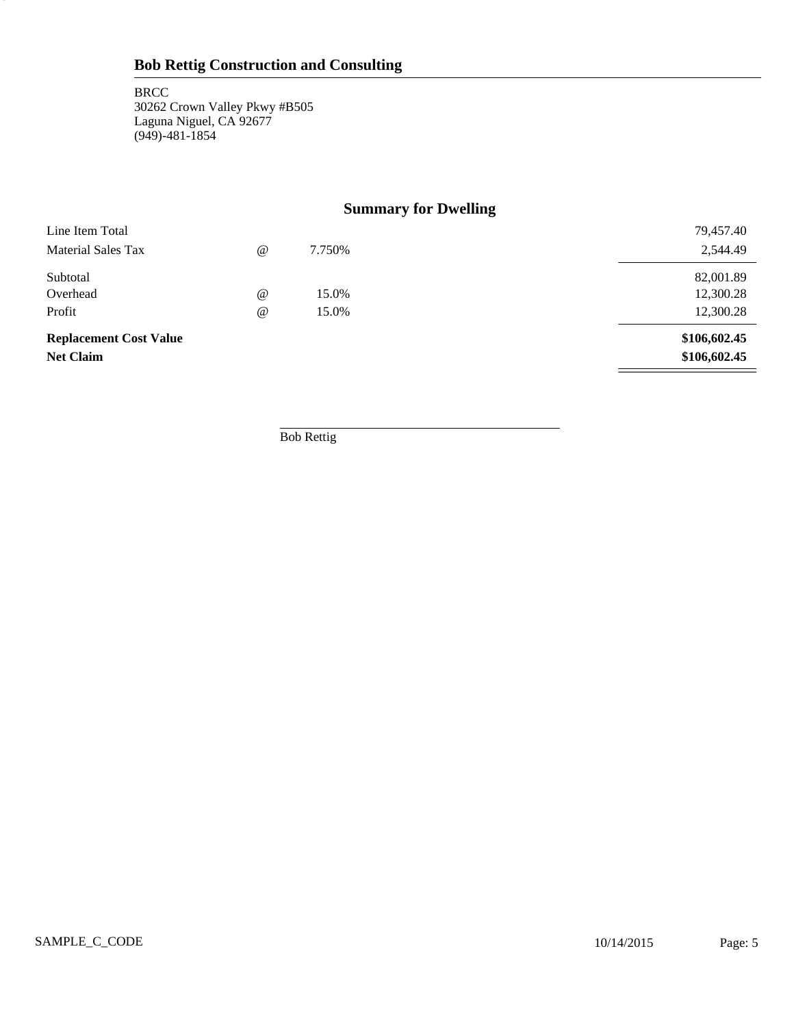5

# **Summary for Dwelling**

| <b>Replacement Cost Value</b><br><b>Net Claim</b> |            |        | \$106,602.45<br>\$106,602.45 |
|---------------------------------------------------|------------|--------|------------------------------|
| Profit                                            | $\omega$   | 15.0%  | 12,300.28                    |
| Overhead                                          | $\omega$   | 15.0%  | 12,300.28                    |
| Subtotal                                          |            |        | 82,001.89                    |
| <b>Material Sales Tax</b>                         | $^{\circ}$ | 7.750% | 2,544.49                     |
| Line Item Total                                   |            |        | 79,457.40                    |

Bob Rettig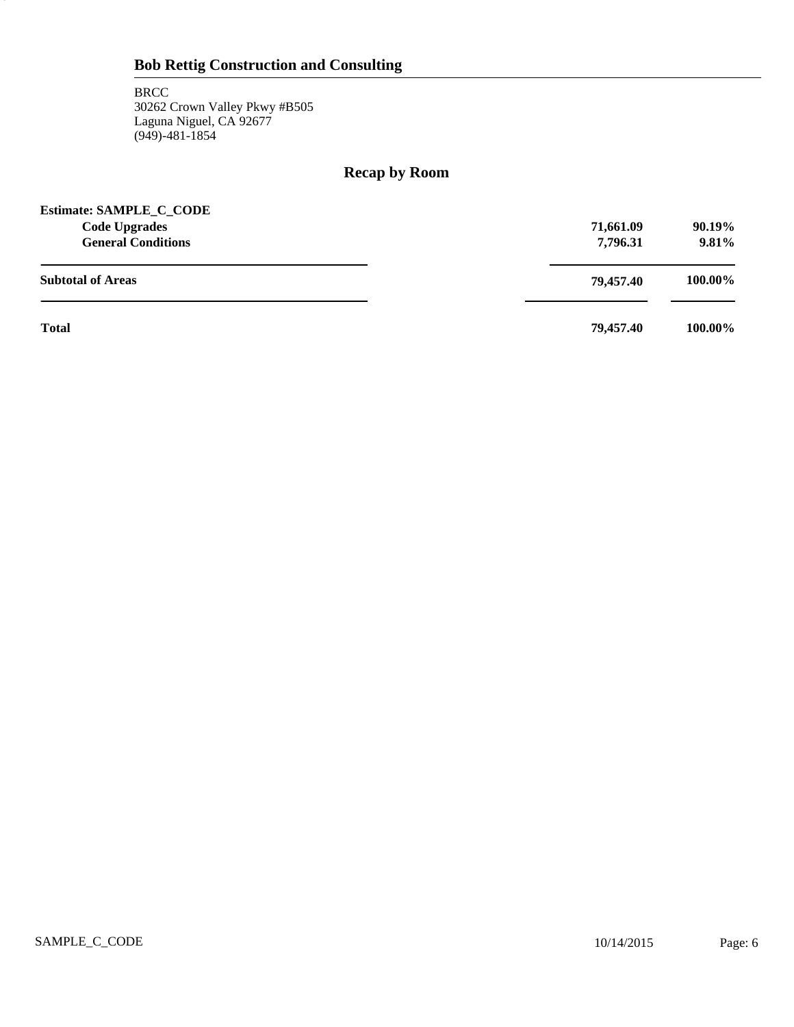6

# **Recap by Room**

| <b>Estimate: SAMPLE_C_CODE</b><br><b>Code Upgrades</b><br><b>General Conditions</b> | 71,661.09<br>7,796.31 | 90.19%<br>9.81% |
|-------------------------------------------------------------------------------------|-----------------------|-----------------|
| <b>Subtotal of Areas</b>                                                            | 79.457.40             | 100.00%         |
| <b>Total</b>                                                                        | 79.457.40             | 100.00%         |